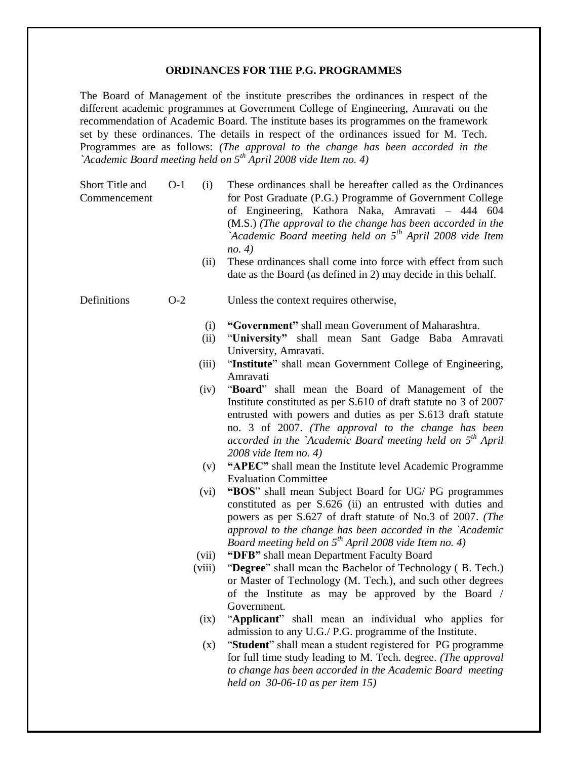#### **ORDINANCES FOR THE P.G. PROGRAMMES**

The Board of Management of the institute prescribes the ordinances in respect of the different academic programmes at Government College of Engineering, Amravati on the recommendation of Academic Board. The institute bases its programmes on the framework set by these ordinances. The details in respect of the ordinances issued for M. Tech. Programmes are as follows: *(The approval to the change has been accorded in the `Academic Board meeting held on 5th April 2008 vide Item no. 4)*

Short Title and Commencement O-1 (i) These ordinances shall be hereafter called as the Ordinances for Post Graduate (P.G.) Programme of Government College of Engineering, Kathora Naka, Amravati – 444 604 (M.S.) *(The approval to the change has been accorded in the `Academic Board meeting held on 5th April 2008 vide Item no. 4)*

> (ii) These ordinances shall come into force with effect from such date as the Board (as defined in 2) may decide in this behalf.

### Definitions O-2 Unless the context requires otherwise,

- (i) **"Government"** shall mean Government of Maharashtra.
- (ii) "**University"** shall mean Sant Gadge Baba Amravati University, Amravati.
- (iii) "**Institute**" shall mean Government College of Engineering, Amravati
- (iv) "**Board**" shall mean the Board of Management of the Institute constituted as per S.610 of draft statute no 3 of 2007 entrusted with powers and duties as per S.613 draft statute no. 3 of 2007. *(The approval to the change has been accorded in the `Academic Board meeting held on 5th April 2008 vide Item no. 4)*
- (v) **"APEC"** shall mean the Institute level Academic Programme Evaluation Committee
- (vi) **"BOS**" shall mean Subject Board for UG/ PG programmes constituted as per S.626 (ii) an entrusted with duties and powers as per S.627 of draft statute of No.3 of 2007. *(The approval to the change has been accorded in the `Academic Board meeting held on 5th April 2008 vide Item no. 4)*
- (vii) **"DFB"** shall mean Department Faculty Board
- (viii) "**Degree**" shall mean the Bachelor of Technology ( B. Tech.) or Master of Technology (M. Tech.), and such other degrees of the Institute as may be approved by the Board / Government.
- (ix) "**Applicant**" shall mean an individual who applies for admission to any U.G./ P.G. programme of the Institute.
- (x) "**Student**" shall mean a student registered for PG programme for full time study leading to M. Tech. degree. *(The approval to change has been accorded in the Academic Board meeting held on 30-06-10 as per item 15)*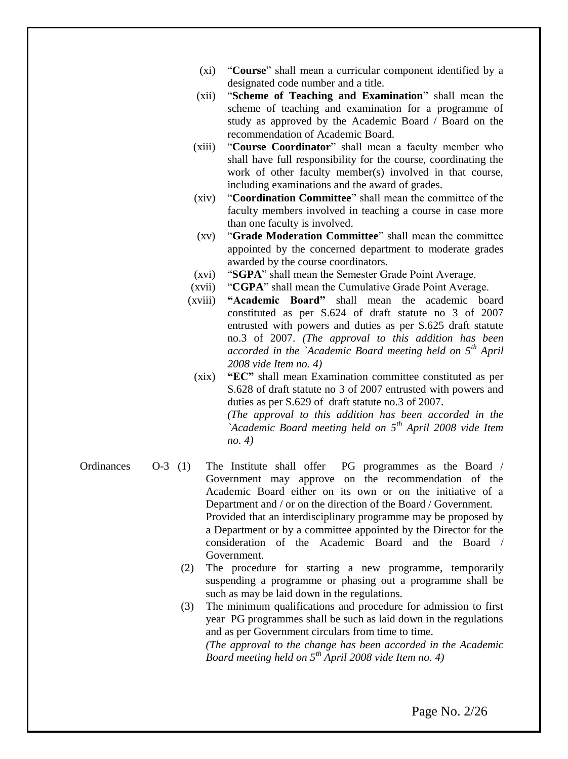- (xi) "**Course**" shall mean a curricular component identified by a designated code number and a title.
- (xii) "**Scheme of Teaching and Examination**" shall mean the scheme of teaching and examination for a programme of study as approved by the Academic Board / Board on the recommendation of Academic Board.
- (xiii) "**Course Coordinator**" shall mean a faculty member who shall have full responsibility for the course, coordinating the work of other faculty member(s) involved in that course, including examinations and the award of grades.
- (xiv) "**Coordination Committee**" shall mean the committee of the faculty members involved in teaching a course in case more than one faculty is involved.
- (xv) "**Grade Moderation Committee**" shall mean the committee appointed by the concerned department to moderate grades awarded by the course coordinators.
- (xvi) "**SGPA**" shall mean the Semester Grade Point Average.
- (xvii) "**CGPA**" shall mean the Cumulative Grade Point Average.
- (xviii) **"Academic Board"** shall mean the academic board constituted as per S.624 of draft statute no 3 of 2007 entrusted with powers and duties as per S.625 draft statute no.3 of 2007. *(The approval to this addition has been accorded in the `Academic Board meeting held on 5th April 2008 vide Item no. 4)*
	- (xix) **"EC"** shall mean Examination committee constituted as per S.628 of draft statute no 3 of 2007 entrusted with powers and duties as per S.629 of draft statute no.3 of 2007. *(The approval to this addition has been accorded in the*

*`Academic Board meeting held on 5th April 2008 vide Item no. 4)*

Ordinances O-3 (1) The Institute shall offer PG programmes as the Board / Government may approve on the recommendation of the Academic Board either on its own or on the initiative of a Department and / or on the direction of the Board / Government. Provided that an interdisciplinary programme may be proposed by a Department or by a committee appointed by the Director for the consideration of the Academic Board and the Board / Government.

> (2) The procedure for starting a new programme, temporarily suspending a programme or phasing out a programme shall be such as may be laid down in the regulations.

> (3) The minimum qualifications and procedure for admission to first year PG programmes shall be such as laid down in the regulations and as per Government circulars from time to time. *(The approval to the change has been accorded in the Academic Board meeting held on 5th April 2008 vide Item no. 4)*

> > Page No. 2/26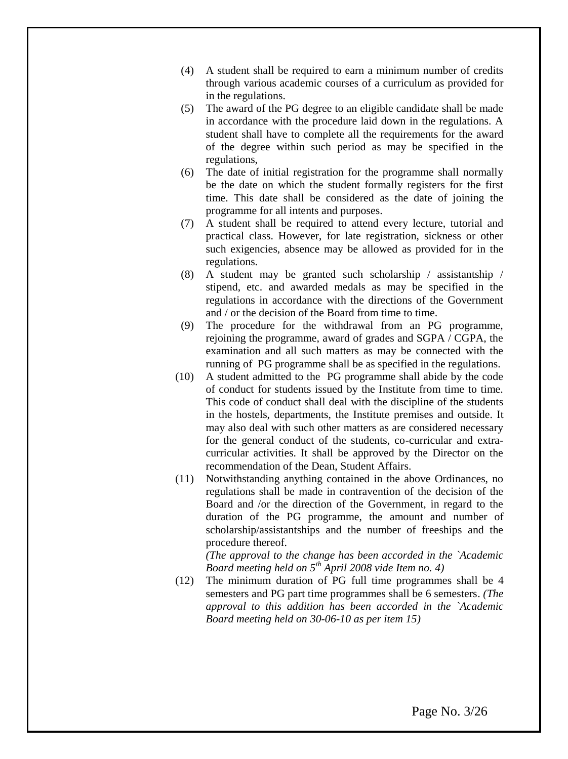- (4) A student shall be required to earn a minimum number of credits through various academic courses of a curriculum as provided for in the regulations.
- (5) The award of the PG degree to an eligible candidate shall be made in accordance with the procedure laid down in the regulations. A student shall have to complete all the requirements for the award of the degree within such period as may be specified in the regulations,
- (6) The date of initial registration for the programme shall normally be the date on which the student formally registers for the first time. This date shall be considered as the date of joining the programme for all intents and purposes.
- (7) A student shall be required to attend every lecture, tutorial and practical class. However, for late registration, sickness or other such exigencies, absence may be allowed as provided for in the regulations.
- (8) A student may be granted such scholarship / assistantship / stipend, etc. and awarded medals as may be specified in the regulations in accordance with the directions of the Government and / or the decision of the Board from time to time.
- (9) The procedure for the withdrawal from an PG programme, rejoining the programme, award of grades and SGPA / CGPA, the examination and all such matters as may be connected with the running of PG programme shall be as specified in the regulations.
- (10) A student admitted to the PG programme shall abide by the code of conduct for students issued by the Institute from time to time. This code of conduct shall deal with the discipline of the students in the hostels, departments, the Institute premises and outside. It may also deal with such other matters as are considered necessary for the general conduct of the students, co-curricular and extracurricular activities. It shall be approved by the Director on the recommendation of the Dean, Student Affairs.
- (11) Notwithstanding anything contained in the above Ordinances, no regulations shall be made in contravention of the decision of the Board and /or the direction of the Government, in regard to the duration of the PG programme, the amount and number of scholarship/assistantships and the number of freeships and the procedure thereof.

*(The approval to the change has been accorded in the `Academic Board meeting held on 5th April 2008 vide Item no. 4)*

(12) The minimum duration of PG full time programmes shall be 4 semesters and PG part time programmes shall be 6 semesters. *(The approval to this addition has been accorded in the `Academic Board meeting held on 30-06-10 as per item 15)*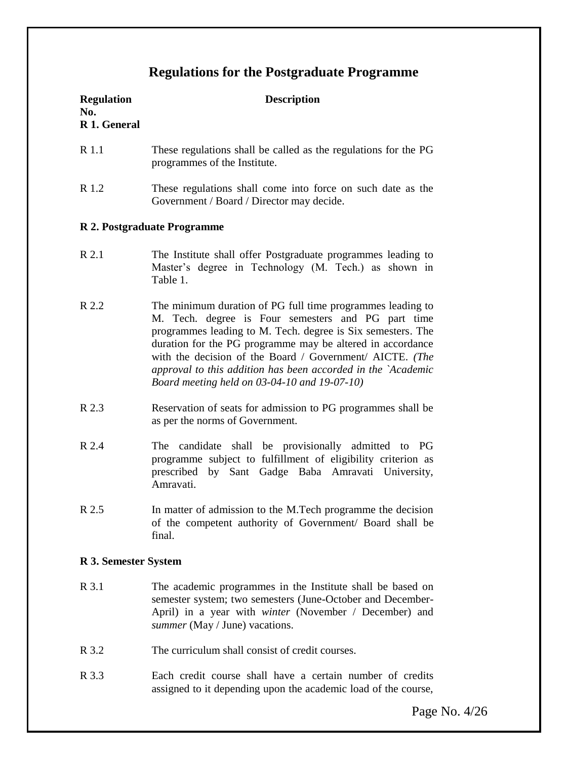# **Regulations for the Postgraduate Programme**

| <b>Regulation</b><br>No.<br>R 1. General | <b>Description</b>                                                                                                                                                                                                                                                                                                                                                                                                        |  |
|------------------------------------------|---------------------------------------------------------------------------------------------------------------------------------------------------------------------------------------------------------------------------------------------------------------------------------------------------------------------------------------------------------------------------------------------------------------------------|--|
| R 1.1                                    | These regulations shall be called as the regulations for the PG<br>programmes of the Institute.                                                                                                                                                                                                                                                                                                                           |  |
| R 1.2                                    | These regulations shall come into force on such date as the<br>Government / Board / Director may decide.                                                                                                                                                                                                                                                                                                                  |  |
| R 2. Postgraduate Programme              |                                                                                                                                                                                                                                                                                                                                                                                                                           |  |
| R 2.1                                    | The Institute shall offer Postgraduate programmes leading to<br>Master's degree in Technology (M. Tech.) as shown in<br>Table 1.                                                                                                                                                                                                                                                                                          |  |
| R 2.2                                    | The minimum duration of PG full time programmes leading to<br>M. Tech. degree is Four semesters and PG part time<br>programmes leading to M. Tech. degree is Six semesters. The<br>duration for the PG programme may be altered in accordance<br>with the decision of the Board / Government/ AICTE. (The<br>approval to this addition has been accorded in the `Academic<br>Board meeting held on 03-04-10 and 19-07-10) |  |
| R 2.3                                    | Reservation of seats for admission to PG programmes shall be<br>as per the norms of Government.                                                                                                                                                                                                                                                                                                                           |  |
| R 2.4                                    | shall be provisionally admitted to PG<br>The candidate<br>programme subject to fulfillment of eligibility criterion as<br>prescribed by Sant Gadge Baba Amravati University,<br>Amravati.                                                                                                                                                                                                                                 |  |
| R 2.5                                    | In matter of admission to the M.Tech programme the decision<br>of the competent authority of Government/ Board shall be<br>final.                                                                                                                                                                                                                                                                                         |  |
| R 3. Semester System                     |                                                                                                                                                                                                                                                                                                                                                                                                                           |  |
| R 3.1                                    | The academic programmes in the Institute shall be based on<br>semester system; two semesters (June-October and December-<br>April) in a year with winter (November / December) and<br>summer (May / June) vacations.                                                                                                                                                                                                      |  |
| R 3.2                                    | The curriculum shall consist of credit courses.                                                                                                                                                                                                                                                                                                                                                                           |  |

R 3.3 Each credit course shall have a certain number of credits assigned to it depending upon the academic load of the course,

Page No. 4/26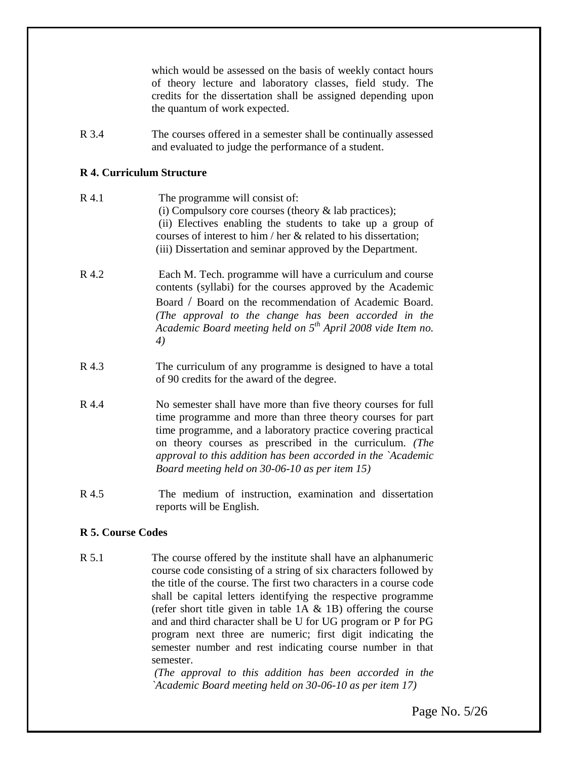which would be assessed on the basis of weekly contact hours of theory lecture and laboratory classes, field study. The credits for the dissertation shall be assigned depending upon the quantum of work expected.

R 3.4 The courses offered in a semester shall be continually assessed and evaluated to judge the performance of a student.

#### **R 4. Curriculum Structure**

- R 4.1 The programme will consist of: (i) Compulsory core courses (theory & lab practices); (ii) Electives enabling the students to take up a group of courses of interest to him / her & related to his dissertation; (iii) Dissertation and seminar approved by the Department.
- R 4.2 Each M. Tech. programme will have a curriculum and course contents (syllabi) for the courses approved by the Academic Board / Board on the recommendation of Academic Board. *(The approval to the change has been accorded in the Academic Board meeting held on 5th April 2008 vide Item no. 4)*
- R 4.3 The curriculum of any programme is designed to have a total of 90 credits for the award of the degree.
- R 4.4 No semester shall have more than five theory courses for full time programme and more than three theory courses for part time programme, and a laboratory practice covering practical on theory courses as prescribed in the curriculum. *(The approval to this addition has been accorded in the `Academic Board meeting held on 30-06-10 as per item 15)*
- R 4.5 The medium of instruction, examination and dissertation reports will be English.

### **R 5. Course Codes**

R 5.1 The course offered by the institute shall have an alphanumeric course code consisting of a string of six characters followed by the title of the course. The first two characters in a course code shall be capital letters identifying the respective programme (refer short title given in table  $1A \& 1B$ ) offering the course and and third character shall be U for UG program or P for PG program next three are numeric; first digit indicating the semester number and rest indicating course number in that semester.

> *(The approval to this addition has been accorded in the `Academic Board meeting held on 30-06-10 as per item 17)*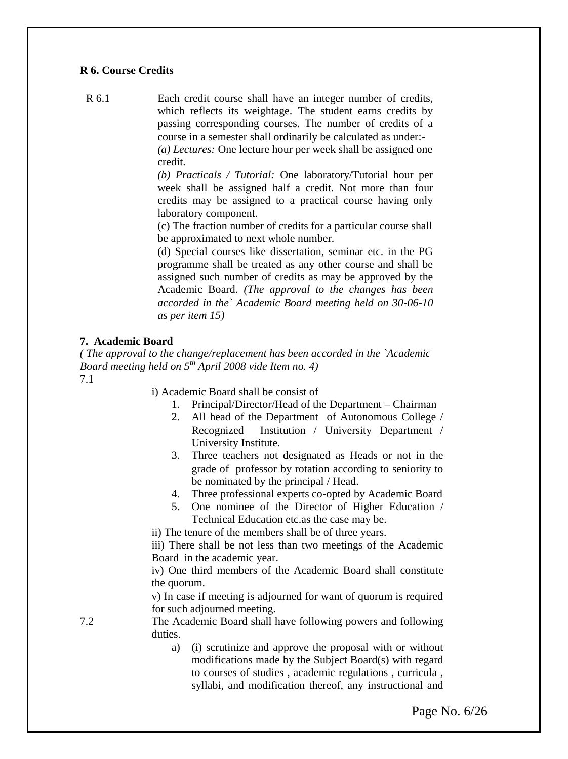#### **R 6. Course Credits**

R 6.1 Each credit course shall have an integer number of credits, which reflects its weightage. The student earns credits by passing corresponding courses. The number of credits of a course in a semester shall ordinarily be calculated as under:-

*(a) Lectures:* One lecture hour per week shall be assigned one credit.

*(b) Practicals / Tutorial:* One laboratory/Tutorial hour per week shall be assigned half a credit. Not more than four credits may be assigned to a practical course having only laboratory component.

(c) The fraction number of credits for a particular course shall be approximated to next whole number.

(d) Special courses like dissertation, seminar etc. in the PG programme shall be treated as any other course and shall be assigned such number of credits as may be approved by the Academic Board. *(The approval to the changes has been accorded in the` Academic Board meeting held on 30-06-10 as per item 15)*

#### **7. Academic Board**

*( The approval to the change/replacement has been accorded in the `Academic Board meeting held on 5th April 2008 vide Item no. 4)* 7.1

i) Academic Board shall be consist of

- 1. Principal/Director/Head of the Department Chairman
- 2. All head of the Department of Autonomous College / Recognized Institution / University Department / University Institute.
- 3. Three teachers not designated as Heads or not in the grade of professor by rotation according to seniority to be nominated by the principal / Head.
- 4. Three professional experts co-opted by Academic Board
- 5. One nominee of the Director of Higher Education / Technical Education etc.as the case may be.

ii) The tenure of the members shall be of three years.

iii) There shall be not less than two meetings of the Academic Board in the academic year.

iv) One third members of the Academic Board shall constitute the quorum.

v) In case if meeting is adjourned for want of quorum is required for such adjourned meeting.

7.2 The Academic Board shall have following powers and following duties.

> a) (i) scrutinize and approve the proposal with or without modifications made by the Subject Board(s) with regard to courses of studies , academic regulations , curricula , syllabi, and modification thereof, any instructional and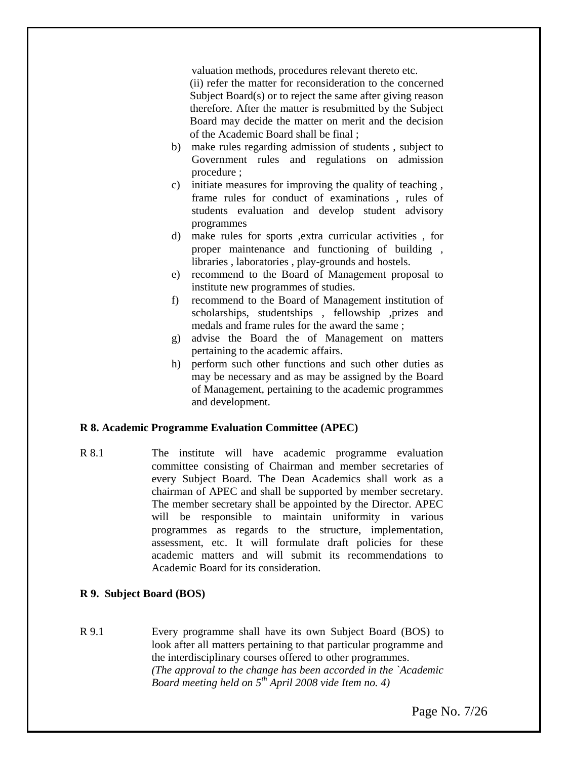valuation methods, procedures relevant thereto etc.

(ii) refer the matter for reconsideration to the concerned Subject Board(s) or to reject the same after giving reason therefore. After the matter is resubmitted by the Subject Board may decide the matter on merit and the decision of the Academic Board shall be final ;

- b) make rules regarding admission of students , subject to Government rules and regulations on admission procedure ;
- c) initiate measures for improving the quality of teaching , frame rules for conduct of examinations , rules of students evaluation and develop student advisory programmes
- d) make rules for sports ,extra curricular activities , for proper maintenance and functioning of building , libraries , laboratories , play-grounds and hostels.
- e) recommend to the Board of Management proposal to institute new programmes of studies.
- f) recommend to the Board of Management institution of scholarships, studentships , fellowship ,prizes and medals and frame rules for the award the same ;
- g) advise the Board the of Management on matters pertaining to the academic affairs.
- h) perform such other functions and such other duties as may be necessary and as may be assigned by the Board of Management, pertaining to the academic programmes and development.

#### **R 8. Academic Programme Evaluation Committee (APEC)**

R 8.1 The institute will have academic programme evaluation committee consisting of Chairman and member secretaries of every Subject Board. The Dean Academics shall work as a chairman of APEC and shall be supported by member secretary. The member secretary shall be appointed by the Director. APEC will be responsible to maintain uniformity in various programmes as regards to the structure, implementation, assessment, etc. It will formulate draft policies for these academic matters and will submit its recommendations to Academic Board for its consideration.

#### **R 9. Subject Board (BOS)**

R 9.1 Every programme shall have its own Subject Board (BOS) to look after all matters pertaining to that particular programme and the interdisciplinary courses offered to other programmes. *(The approval to the change has been accorded in the `Academic Board meeting held on 5th April 2008 vide Item no. 4)*

Page No. 7/26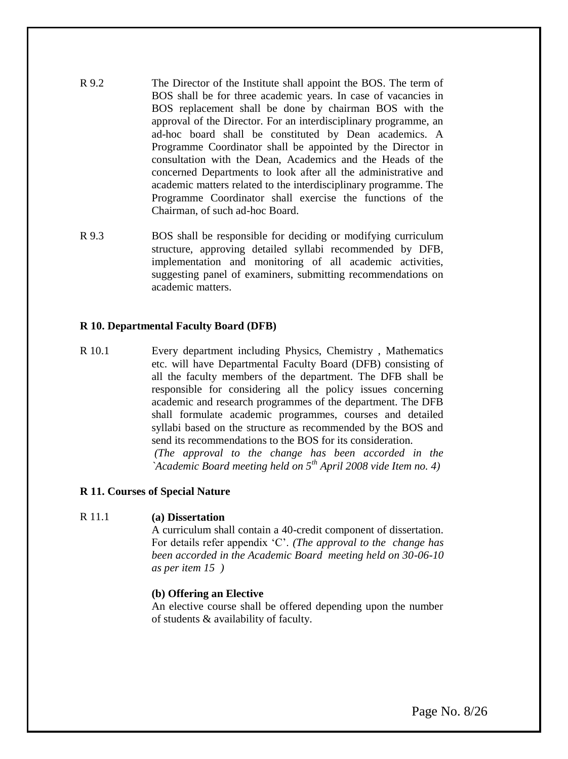- R 9.2 The Director of the Institute shall appoint the BOS. The term of BOS shall be for three academic years. In case of vacancies in BOS replacement shall be done by chairman BOS with the approval of the Director. For an interdisciplinary programme, an ad-hoc board shall be constituted by Dean academics. A Programme Coordinator shall be appointed by the Director in consultation with the Dean, Academics and the Heads of the concerned Departments to look after all the administrative and academic matters related to the interdisciplinary programme. The Programme Coordinator shall exercise the functions of the Chairman, of such ad-hoc Board.
- R 9.3 BOS shall be responsible for deciding or modifying curriculum structure, approving detailed syllabi recommended by DFB, implementation and monitoring of all academic activities, suggesting panel of examiners, submitting recommendations on academic matters.

#### **R 10. Departmental Faculty Board (DFB)**

R 10.1 Every department including Physics, Chemistry , Mathematics etc. will have Departmental Faculty Board (DFB) consisting of all the faculty members of the department. The DFB shall be responsible for considering all the policy issues concerning academic and research programmes of the department. The DFB shall formulate academic programmes, courses and detailed syllabi based on the structure as recommended by the BOS and send its recommendations to the BOS for its consideration.

*(The approval to the change has been accorded in the `Academic Board meeting held on 5th April 2008 vide Item no. 4)*

### **R 11. Courses of Special Nature**

#### R 11.1 **(a) Dissertation**

A curriculum shall contain a 40-credit component of dissertation. For details refer appendix "C". *(The approval to the change has been accorded in the Academic Board meeting held on 30-06-10 as per item 15 )*

#### **(b) Offering an Elective**

An elective course shall be offered depending upon the number of students & availability of faculty.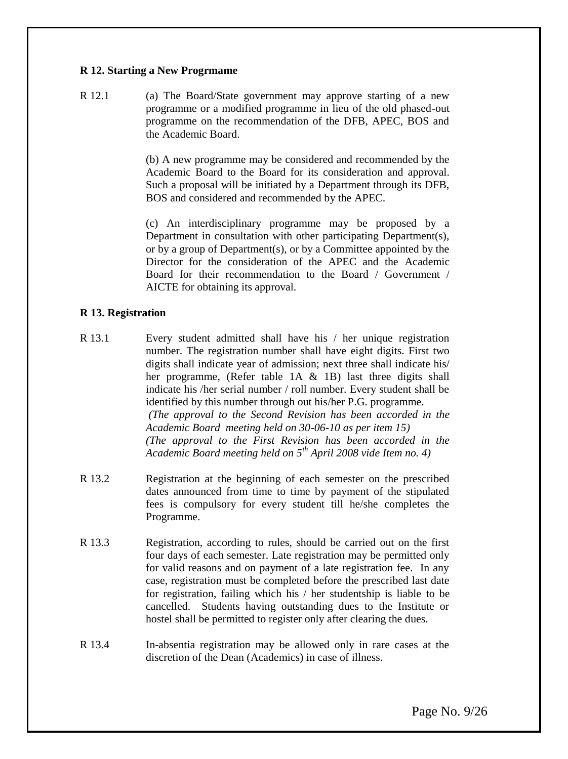#### **R 12. Starting a New Progrmame**

R 12.1 (a) The Board/State government may approve starting of a new programme or a modified programme in lieu of the old phased-out programme on the recommendation of the DFB, APEC, BOS and the Academic Board.

> (b) A new programme may be considered and recommended by the Academic Board to the Board for its consideration and approval. Such a proposal will be initiated by a Department through its DFB, BOS and considered and recommended by the APEC.

> (c) An interdisciplinary programme may be proposed by a Department in consultation with other participating Department(s), or by a group of Department(s), or by a Committee appointed by the Director for the consideration of the APEC and the Academic Board for their recommendation to the Board / Government / AICTE for obtaining its approval.

### **R 13. Registration**

- R 13.1 Every student admitted shall have his / her unique registration number. The registration number shall have eight digits. First two digits shall indicate year of admission; next three shall indicate his/ her programme, (Refer table 1A & 1B) last three digits shall indicate his /her serial number / roll number. Every student shall be identified by this number through out his/her P.G. programme. *(The approval to the Second Revision has been accorded in the Academic Board meeting held on 30-06-10 as per item 15) (The approval to the First Revision has been accorded in the Academic Board meeting held on 5th April 2008 vide Item no. 4)*
- R 13.2 Registration at the beginning of each semester on the prescribed dates announced from time to time by payment of the stipulated fees is compulsory for every student till he/she completes the Programme.
- R 13.3 Registration, according to rules, should be carried out on the first four days of each semester. Late registration may be permitted only for valid reasons and on payment of a late registration fee. In any case, registration must be completed before the prescribed last date for registration, failing which his / her studentship is liable to be cancelled. Students having outstanding dues to the Institute or hostel shall be permitted to register only after clearing the dues.
- R 13.4 In-absentia registration may be allowed only in rare cases at the discretion of the Dean (Academics) in case of illness.

Page No. 9/26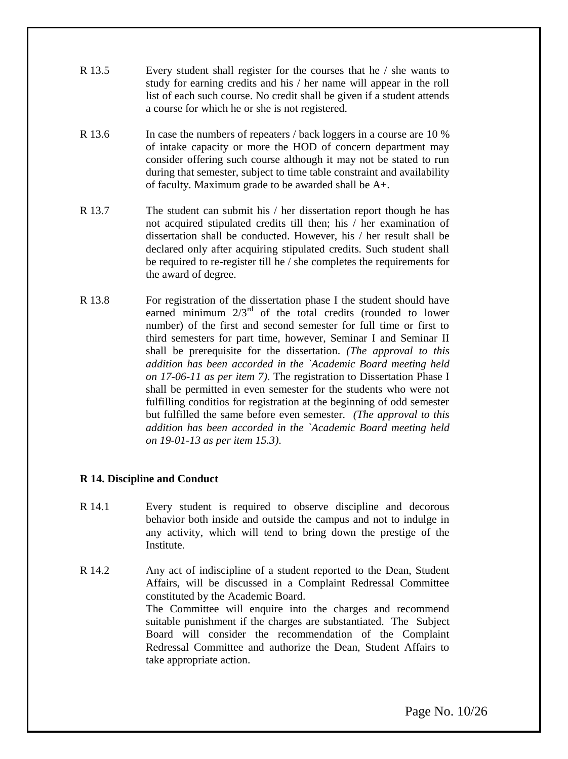- R 13.5 Every student shall register for the courses that he / she wants to study for earning credits and his / her name will appear in the roll list of each such course. No credit shall be given if a student attends a course for which he or she is not registered.
- R 13.6 In case the numbers of repeaters / back loggers in a course are 10 % of intake capacity or more the HOD of concern department may consider offering such course although it may not be stated to run during that semester, subject to time table constraint and availability of faculty. Maximum grade to be awarded shall be A+.
- R 13.7 The student can submit his / her dissertation report though he has not acquired stipulated credits till then; his / her examination of dissertation shall be conducted. However, his / her result shall be declared only after acquiring stipulated credits. Such student shall be required to re-register till he / she completes the requirements for the award of degree.
- R 13.8 For registration of the dissertation phase I the student should have earned minimum  $2/3^{rd}$  of the total credits (rounded to lower number) of the first and second semester for full time or first to third semesters for part time, however, Seminar I and Seminar II shall be prerequisite for the dissertation. *(The approval to this addition has been accorded in the `Academic Board meeting held on 17-06-11 as per item 7)*. The registration to Dissertation Phase I shall be permitted in even semester for the students who were not fulfilling conditios for registration at the beginning of odd semester but fulfilled the same before even semester. *(The approval to this addition has been accorded in the `Academic Board meeting held on 19-01-13 as per item 15.3)*.

### **R 14. Discipline and Conduct**

- R 14.1 Every student is required to observe discipline and decorous behavior both inside and outside the campus and not to indulge in any activity, which will tend to bring down the prestige of the **Institute**
- R 14.2 Any act of indiscipline of a student reported to the Dean, Student Affairs, will be discussed in a Complaint Redressal Committee constituted by the Academic Board. The Committee will enquire into the charges and recommend suitable punishment if the charges are substantiated. The Subject Board will consider the recommendation of the Complaint Redressal Committee and authorize the Dean, Student Affairs to take appropriate action.

Page No. 10/26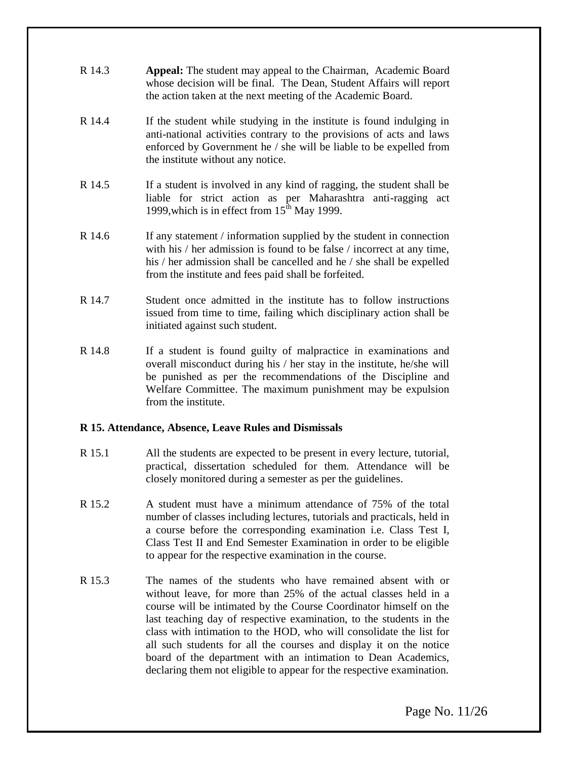- R 14.3 **Appeal:** The student may appeal to the Chairman, Academic Board whose decision will be final. The Dean, Student Affairs will report the action taken at the next meeting of the Academic Board.
- R 14.4 If the student while studying in the institute is found indulging in anti-national activities contrary to the provisions of acts and laws enforced by Government he / she will be liable to be expelled from the institute without any notice.
- R 14.5 If a student is involved in any kind of ragging, the student shall be liable for strict action as per Maharashtra anti-ragging act 1999, which is in effect from  $15<sup>th</sup>$  May 1999.
- R 14.6 If any statement / information supplied by the student in connection with his / her admission is found to be false / incorrect at any time, his / her admission shall be cancelled and he / she shall be expelled from the institute and fees paid shall be forfeited.
- R 14.7 Student once admitted in the institute has to follow instructions issued from time to time, failing which disciplinary action shall be initiated against such student.
- R 14.8 If a student is found guilty of malpractice in examinations and overall misconduct during his / her stay in the institute, he/she will be punished as per the recommendations of the Discipline and Welfare Committee. The maximum punishment may be expulsion from the institute.

### **R 15. Attendance, Absence, Leave Rules and Dismissals**

- R 15.1 All the students are expected to be present in every lecture, tutorial, practical, dissertation scheduled for them. Attendance will be closely monitored during a semester as per the guidelines.
- R 15.2 A student must have a minimum attendance of 75% of the total number of classes including lectures, tutorials and practicals, held in a course before the corresponding examination i.e. Class Test I, Class Test II and End Semester Examination in order to be eligible to appear for the respective examination in the course.
- R 15.3 The names of the students who have remained absent with or without leave, for more than 25% of the actual classes held in a course will be intimated by the Course Coordinator himself on the last teaching day of respective examination, to the students in the class with intimation to the HOD, who will consolidate the list for all such students for all the courses and display it on the notice board of the department with an intimation to Dean Academics, declaring them not eligible to appear for the respective examination.

Page No. 11/26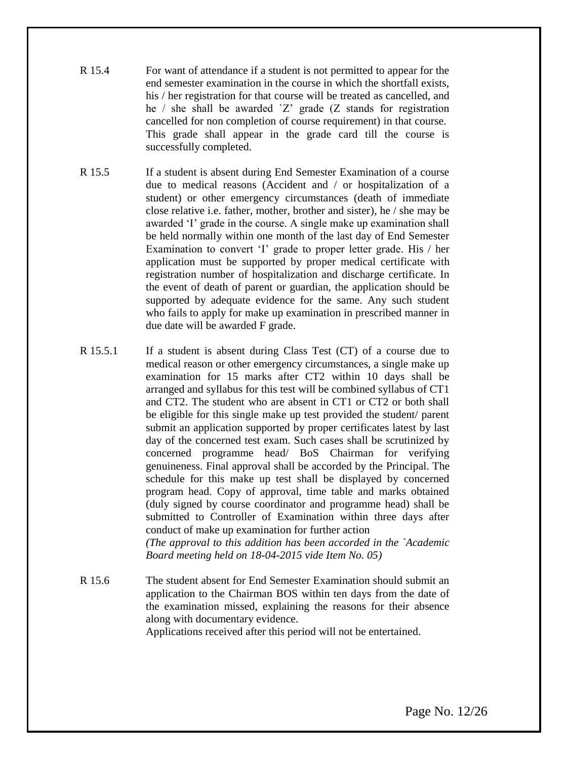- R 15.4 For want of attendance if a student is not permitted to appear for the end semester examination in the course in which the shortfall exists, his / her registration for that course will be treated as cancelled, and he  $\ell$  she shall be awarded  $Z$  grade (Z stands for registration cancelled for non completion of course requirement) in that course. This grade shall appear in the grade card till the course is successfully completed.
- R 15.5 If a student is absent during End Semester Examination of a course due to medical reasons (Accident and / or hospitalization of a student) or other emergency circumstances (death of immediate close relative i.e. father, mother, brother and sister), he / she may be awarded 'I' grade in the course. A single make up examination shall be held normally within one month of the last day of End Semester Examination to convert 'I' grade to proper letter grade. His / her application must be supported by proper medical certificate with registration number of hospitalization and discharge certificate. In the event of death of parent or guardian, the application should be supported by adequate evidence for the same. Any such student who fails to apply for make up examination in prescribed manner in due date will be awarded F grade.
- R 15.5.1 If a student is absent during Class Test (CT) of a course due to medical reason or other emergency circumstances, a single make up examination for 15 marks after CT2 within 10 days shall be arranged and syllabus for this test will be combined syllabus of CT1 and CT2. The student who are absent in CT1 or CT2 or both shall be eligible for this single make up test provided the student/ parent submit an application supported by proper certificates latest by last day of the concerned test exam. Such cases shall be scrutinized by concerned programme head/ BoS Chairman for verifying genuineness. Final approval shall be accorded by the Principal. The schedule for this make up test shall be displayed by concerned program head. Copy of approval, time table and marks obtained (duly signed by course coordinator and programme head) shall be submitted to Controller of Examination within three days after conduct of make up examination for further action

*(The approval to this addition has been accorded in the `Academic Board meeting held on 18-04-2015 vide Item No. 05)*

R 15.6 The student absent for End Semester Examination should submit an application to the Chairman BOS within ten days from the date of the examination missed, explaining the reasons for their absence along with documentary evidence. Applications received after this period will not be entertained.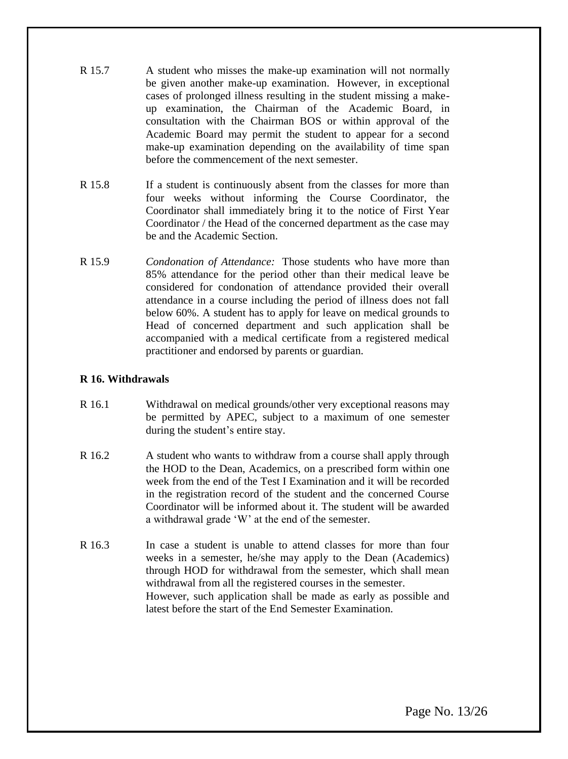- R 15.7 A student who misses the make-up examination will not normally be given another make-up examination. However, in exceptional cases of prolonged illness resulting in the student missing a makeup examination, the Chairman of the Academic Board, in consultation with the Chairman BOS or within approval of the Academic Board may permit the student to appear for a second make-up examination depending on the availability of time span before the commencement of the next semester.
- R 15.8 If a student is continuously absent from the classes for more than four weeks without informing the Course Coordinator, the Coordinator shall immediately bring it to the notice of First Year Coordinator / the Head of the concerned department as the case may be and the Academic Section.
- R 15.9 *Condonation of Attendance:* Those students who have more than 85% attendance for the period other than their medical leave be considered for condonation of attendance provided their overall attendance in a course including the period of illness does not fall below 60%. A student has to apply for leave on medical grounds to Head of concerned department and such application shall be accompanied with a medical certificate from a registered medical practitioner and endorsed by parents or guardian.

### **R 16. Withdrawals**

- R 16.1 Withdrawal on medical grounds/other very exceptional reasons may be permitted by APEC, subject to a maximum of one semester during the student"s entire stay.
- R 16.2 A student who wants to withdraw from a course shall apply through the HOD to the Dean, Academics, on a prescribed form within one week from the end of the Test I Examination and it will be recorded in the registration record of the student and the concerned Course Coordinator will be informed about it. The student will be awarded a withdrawal grade "W" at the end of the semester.
- R 16.3 In case a student is unable to attend classes for more than four weeks in a semester, he/she may apply to the Dean (Academics) through HOD for withdrawal from the semester, which shall mean withdrawal from all the registered courses in the semester. However, such application shall be made as early as possible and latest before the start of the End Semester Examination.

Page No. 13/26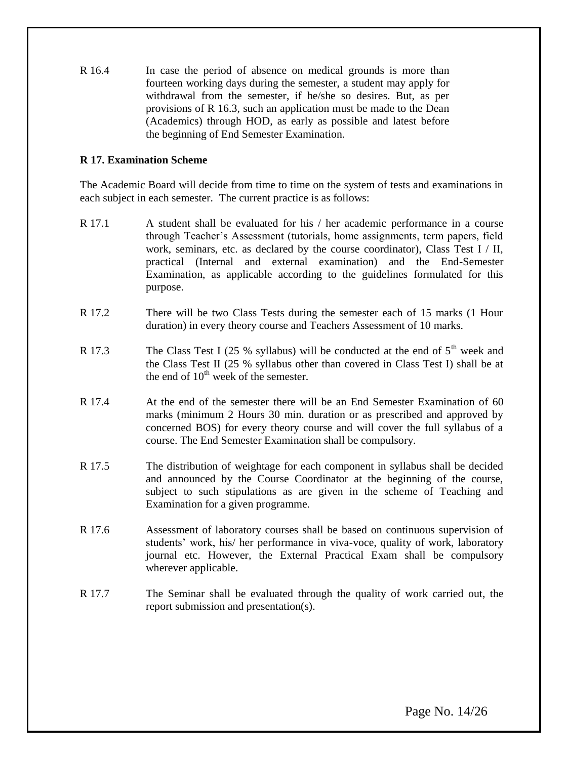R 16.4 In case the period of absence on medical grounds is more than fourteen working days during the semester, a student may apply for withdrawal from the semester, if he/she so desires. But, as per provisions of R 16.3, such an application must be made to the Dean (Academics) through HOD, as early as possible and latest before the beginning of End Semester Examination.

### **R 17. Examination Scheme**

The Academic Board will decide from time to time on the system of tests and examinations in each subject in each semester. The current practice is as follows:

- R 17.1 A student shall be evaluated for his / her academic performance in a course through Teacher"s Assessment (tutorials, home assignments, term papers, field work, seminars, etc. as declared by the course coordinator), Class Test  $I / II$ , practical (Internal and external examination) and the End-Semester Examination, as applicable according to the guidelines formulated for this purpose.
- R 17.2 There will be two Class Tests during the semester each of 15 marks (1 Hour duration) in every theory course and Teachers Assessment of 10 marks.
- R 17.3 The Class Test I (25 % syllabus) will be conducted at the end of  $5<sup>th</sup>$  week and the Class Test II (25 % syllabus other than covered in Class Test I) shall be at the end of  $10^{th}$  week of the semester.
- R 17.4 At the end of the semester there will be an End Semester Examination of 60 marks (minimum 2 Hours 30 min. duration or as prescribed and approved by concerned BOS) for every theory course and will cover the full syllabus of a course. The End Semester Examination shall be compulsory.
- R 17.5 The distribution of weightage for each component in syllabus shall be decided and announced by the Course Coordinator at the beginning of the course, subject to such stipulations as are given in the scheme of Teaching and Examination for a given programme.
- R 17.6 Assessment of laboratory courses shall be based on continuous supervision of students' work, his/ her performance in viva-voce, quality of work, laboratory journal etc. However, the External Practical Exam shall be compulsory wherever applicable.
- R 17.7 The Seminar shall be evaluated through the quality of work carried out, the report submission and presentation(s).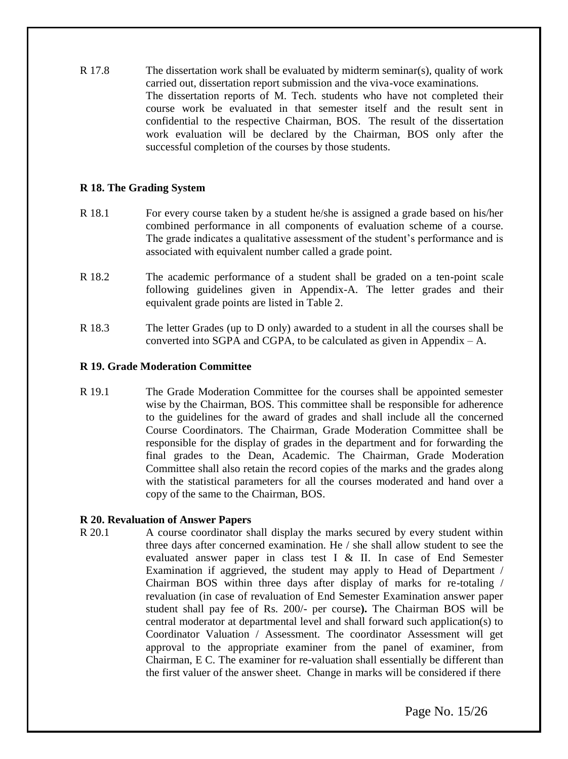R 17.8 The dissertation work shall be evaluated by midterm seminar(s), quality of work carried out, dissertation report submission and the viva-voce examinations. The dissertation reports of M. Tech. students who have not completed their course work be evaluated in that semester itself and the result sent in confidential to the respective Chairman, BOS. The result of the dissertation work evaluation will be declared by the Chairman, BOS only after the successful completion of the courses by those students.

### **R 18. The Grading System**

- R 18.1 For every course taken by a student he/she is assigned a grade based on his/her combined performance in all components of evaluation scheme of a course. The grade indicates a qualitative assessment of the student"s performance and is associated with equivalent number called a grade point.
- R 18.2 The academic performance of a student shall be graded on a ten-point scale following guidelines given in Appendix-A. The letter grades and their equivalent grade points are listed in Table 2.
- R 18.3 The letter Grades (up to D only) awarded to a student in all the courses shall be converted into SGPA and CGPA, to be calculated as given in Appendix  $- A$ .

#### **R 19. Grade Moderation Committee**

R 19.1 The Grade Moderation Committee for the courses shall be appointed semester wise by the Chairman, BOS. This committee shall be responsible for adherence to the guidelines for the award of grades and shall include all the concerned Course Coordinators. The Chairman, Grade Moderation Committee shall be responsible for the display of grades in the department and for forwarding the final grades to the Dean, Academic. The Chairman, Grade Moderation Committee shall also retain the record copies of the marks and the grades along with the statistical parameters for all the courses moderated and hand over a copy of the same to the Chairman, BOS.

### **R 20. Revaluation of Answer Papers**

R 20.1 A course coordinator shall display the marks secured by every student within three days after concerned examination. He / she shall allow student to see the evaluated answer paper in class test I & II. In case of End Semester Examination if aggrieved, the student may apply to Head of Department / Chairman BOS within three days after display of marks for re-totaling / revaluation (in case of revaluation of End Semester Examination answer paper student shall pay fee of Rs. 200/- per course**).** The Chairman BOS will be central moderator at departmental level and shall forward such application(s) to Coordinator Valuation / Assessment. The coordinator Assessment will get approval to the appropriate examiner from the panel of examiner, from Chairman, E C. The examiner for re-valuation shall essentially be different than the first valuer of the answer sheet. Change in marks will be considered if there

Page No. 15/26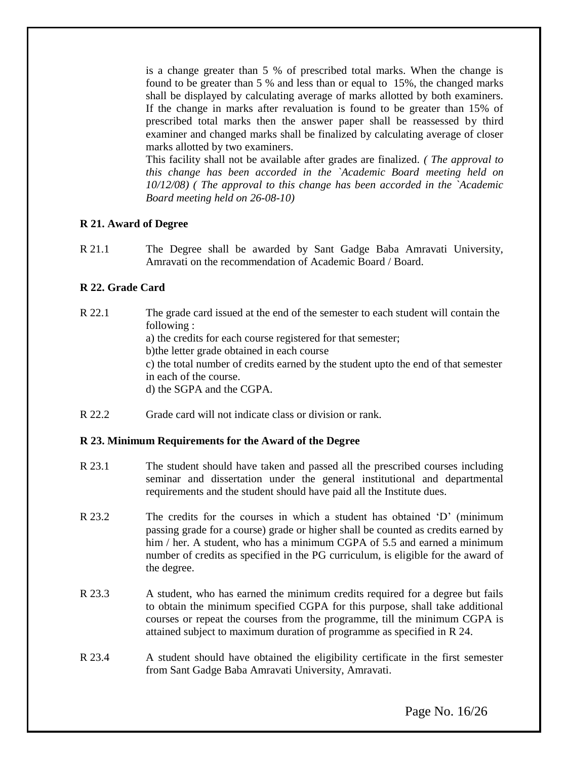is a change greater than 5 % of prescribed total marks. When the change is found to be greater than 5 % and less than or equal to 15%, the changed marks shall be displayed by calculating average of marks allotted by both examiners. If the change in marks after revaluation is found to be greater than 15% of prescribed total marks then the answer paper shall be reassessed by third examiner and changed marks shall be finalized by calculating average of closer marks allotted by two examiners.

This facility shall not be available after grades are finalized. *( The approval to this change has been accorded in the `Academic Board meeting held on 10/12/08) ( The approval to this change has been accorded in the `Academic Board meeting held on 26-08-10)*

### **R 21. Award of Degree**

R 21.1 The Degree shall be awarded by Sant Gadge Baba Amravati University, Amravati on the recommendation of Academic Board / Board.

### **R 22. Grade Card**

R 22.1 The grade card issued at the end of the semester to each student will contain the following : a) the credits for each course registered for that semester; b)the letter grade obtained in each course c) the total number of credits earned by the student upto the end of that semester in each of the course. d) the SGPA and the CGPA.

R 22.2 Grade card will not indicate class or division or rank.

### **R 23. Minimum Requirements for the Award of the Degree**

- R 23.1 The student should have taken and passed all the prescribed courses including seminar and dissertation under the general institutional and departmental requirements and the student should have paid all the Institute dues.
- R 23.2 The credits for the courses in which a student has obtained "D" (minimum passing grade for a course) grade or higher shall be counted as credits earned by him / her. A student, who has a minimum CGPA of 5.5 and earned a minimum number of credits as specified in the PG curriculum, is eligible for the award of the degree.
- R 23.3 A student, who has earned the minimum credits required for a degree but fails to obtain the minimum specified CGPA for this purpose, shall take additional courses or repeat the courses from the programme, till the minimum CGPA is attained subject to maximum duration of programme as specified in R 24.
- R 23.4 A student should have obtained the eligibility certificate in the first semester from Sant Gadge Baba Amravati University, Amravati.

Page No. 16/26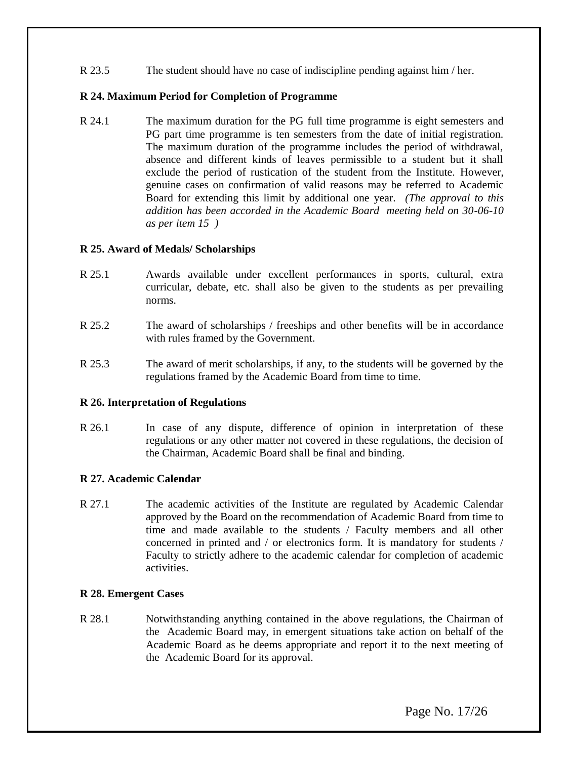R 23.5 The student should have no case of indiscipline pending against him / her.

### **R 24. Maximum Period for Completion of Programme**

R 24.1 The maximum duration for the PG full time programme is eight semesters and PG part time programme is ten semesters from the date of initial registration. The maximum duration of the programme includes the period of withdrawal, absence and different kinds of leaves permissible to a student but it shall exclude the period of rustication of the student from the Institute. However, genuine cases on confirmation of valid reasons may be referred to Academic Board for extending this limit by additional one year. *(The approval to this addition has been accorded in the Academic Board meeting held on 30-06-10 as per item 15 )*

### **R 25. Award of Medals/ Scholarships**

- R 25.1 Awards available under excellent performances in sports, cultural, extra curricular, debate, etc. shall also be given to the students as per prevailing norms.
- R 25.2 The award of scholarships / freeships and other benefits will be in accordance with rules framed by the Government.
- R 25.3 The award of merit scholarships, if any, to the students will be governed by the regulations framed by the Academic Board from time to time.

#### **R 26. Interpretation of Regulations**

R 26.1 In case of any dispute, difference of opinion in interpretation of these regulations or any other matter not covered in these regulations, the decision of the Chairman, Academic Board shall be final and binding.

#### **R 27. Academic Calendar**

R 27.1 The academic activities of the Institute are regulated by Academic Calendar approved by the Board on the recommendation of Academic Board from time to time and made available to the students / Faculty members and all other concerned in printed and / or electronics form. It is mandatory for students / Faculty to strictly adhere to the academic calendar for completion of academic activities.

#### **R 28. Emergent Cases**

R 28.1 Notwithstanding anything contained in the above regulations, the Chairman of the Academic Board may, in emergent situations take action on behalf of the Academic Board as he deems appropriate and report it to the next meeting of the Academic Board for its approval.

Page No. 17/26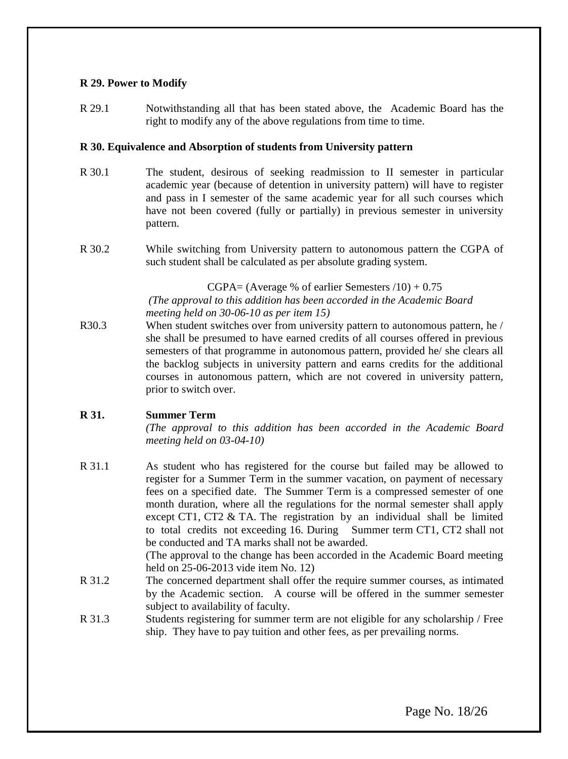### **R 29. Power to Modify**

R 29.1 Notwithstanding all that has been stated above, the Academic Board has the right to modify any of the above regulations from time to time.

### **R 30. Equivalence and Absorption of students from University pattern**

- R 30.1 The student, desirous of seeking readmission to II semester in particular academic year (because of detention in university pattern) will have to register and pass in I semester of the same academic year for all such courses which have not been covered (fully or partially) in previous semester in university pattern.
- R 30.2 While switching from University pattern to autonomous pattern the CGPA of such student shall be calculated as per absolute grading system.

 $CGPA = (Average % of earlier Semesters /10) + 0.75$ *(The approval to this addition has been accorded in the Academic Board meeting held on 30-06-10 as per item 15)*

R30.3 When student switches over from university pattern to autonomous pattern, he / she shall be presumed to have earned credits of all courses offered in previous semesters of that programme in autonomous pattern, provided he/ she clears all the backlog subjects in university pattern and earns credits for the additional courses in autonomous pattern, which are not covered in university pattern, prior to switch over.

### **R 31. Summer Term**

*(The approval to this addition has been accorded in the Academic Board meeting held on 03-04-10)*

R 31.1 As student who has registered for the course but failed may be allowed to register for a Summer Term in the summer vacation, on payment of necessary fees on a specified date. The Summer Term is a compressed semester of one month duration, where all the regulations for the normal semester shall apply except CT1, CT2 & TA. The registration by an individual shall be limited to total credits not exceeding 16. During Summer term CT1, CT2 shall not be conducted and TA marks shall not be awarded.

(The approval to the change has been accorded in the Academic Board meeting held on 25-06-2013 vide item No. 12)

- R 31.2 The concerned department shall offer the require summer courses, as intimated by the Academic section. A course will be offered in the summer semester subject to availability of faculty.
- R 31.3 Students registering for summer term are not eligible for any scholarship / Free ship. They have to pay tuition and other fees, as per prevailing norms.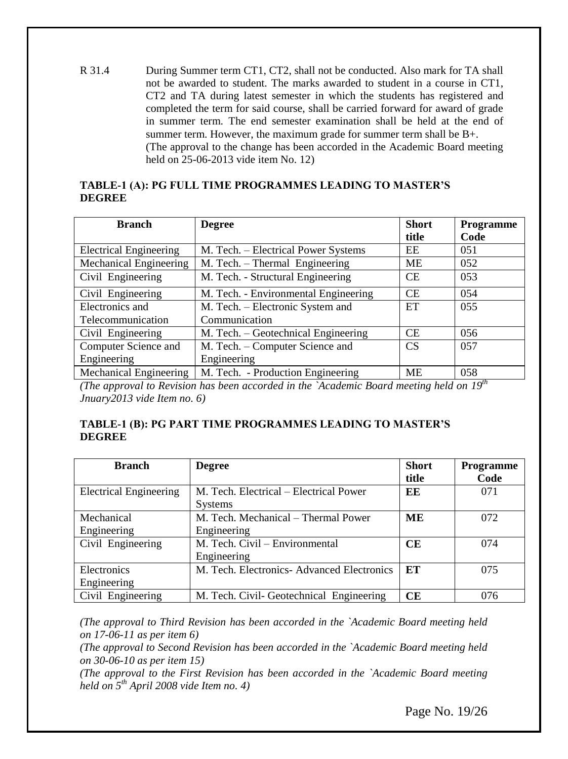R 31.4 During Summer term CT1, CT2, shall not be conducted. Also mark for TA shall not be awarded to student. The marks awarded to student in a course in CT1, CT2 and TA during latest semester in which the students has registered and completed the term for said course, shall be carried forward for award of grade in summer term. The end semester examination shall be held at the end of summer term. However, the maximum grade for summer term shall be B+. (The approval to the change has been accorded in the Academic Board meeting held on 25-06-2013 vide item No. 12)

### **TABLE-1 (A): PG FULL TIME PROGRAMMES LEADING TO MASTER"S DEGREE**

| <b>Branch</b>                 | <b>Degree</b>                        | <b>Short</b>    | Programme |
|-------------------------------|--------------------------------------|-----------------|-----------|
|                               |                                      | title           | Code      |
| <b>Electrical Engineering</b> | M. Tech. – Electrical Power Systems  | EE              | 051       |
| Mechanical Engineering        | M. Tech. – Thermal Engineering       | <b>ME</b>       | 052       |
| Civil Engineering             | M. Tech. - Structural Engineering    | <b>CE</b>       | 053       |
| Civil Engineering             | M. Tech. - Environmental Engineering | CE.             | 054       |
| Electronics and               | M. Tech. - Electronic System and     | ET              | 055       |
| Telecommunication             | Communication                        |                 |           |
| Civil Engineering             | M. Tech. – Geotechnical Engineering  | <b>CE</b>       | 056       |
| Computer Science and          | M. Tech. - Computer Science and      | CS <sup>-</sup> | 057       |
| Engineering                   | Engineering                          |                 |           |
| Mechanical Engineering        | M. Tech. - Production Engineering    | <b>ME</b>       | 058       |

*(The approval to Revision has been accorded in the `Academic Board meeting held on 19th Jnuary2013 vide Item no. 6)*

### **TABLE-1 (B): PG PART TIME PROGRAMMES LEADING TO MASTER"S DEGREE**

| <b>Branch</b>                 | <b>Degree</b>                              | <b>Short</b> | Programme |
|-------------------------------|--------------------------------------------|--------------|-----------|
|                               |                                            | title        | Code      |
| <b>Electrical Engineering</b> | M. Tech. Electrical – Electrical Power     | EE           | 071       |
|                               | <b>Systems</b>                             |              |           |
| Mechanical                    | M. Tech. Mechanical - Thermal Power        | MЕ           | 072       |
| Engineering                   | Engineering                                |              |           |
| Civil Engineering             | M. Tech. Civil - Environmental             | CE           | 074       |
|                               | Engineering                                |              |           |
| Electronics                   | M. Tech. Electronics- Advanced Electronics | ET           | 075       |
| Engineering                   |                                            |              |           |
| Civil Engineering             | M. Tech. Civil- Geotechnical Engineering   | CE           | 076       |

*(The approval to Third Revision has been accorded in the `Academic Board meeting held on 17-06-11 as per item 6)*

*(The approval to Second Revision has been accorded in the `Academic Board meeting held on 30-06-10 as per item 15)*

*(The approval to the First Revision has been accorded in the `Academic Board meeting held on 5th April 2008 vide Item no. 4)*

Page No. 19/26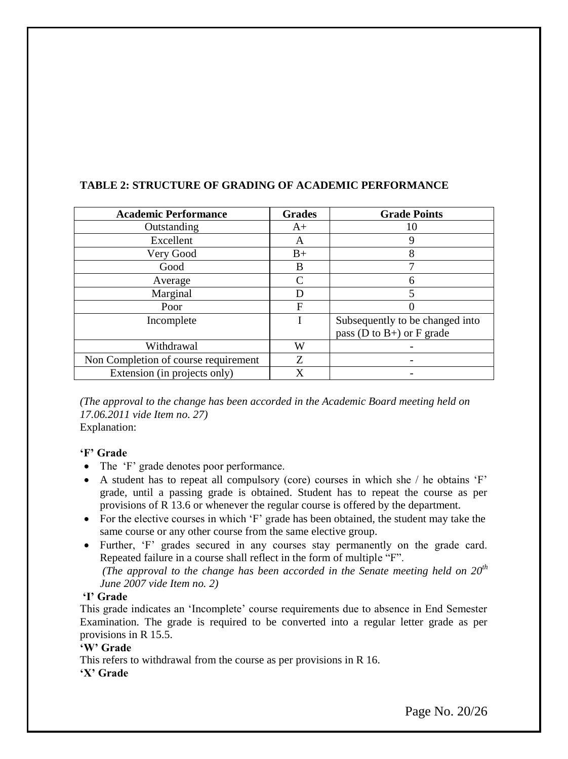| <b>Academic Performance</b>          | <b>Grades</b> | <b>Grade Points</b>               |
|--------------------------------------|---------------|-----------------------------------|
| Outstanding                          | $A+$          | 10                                |
| Excellent                            | A             | 9                                 |
| Very Good                            | $B+$          | 8                                 |
| Good                                 | B             |                                   |
| Average                              | C             | 6                                 |
| Marginal                             | D             | 5                                 |
| Poor                                 | F             |                                   |
| Incomplete                           |               | Subsequently to be changed into   |
|                                      |               | pass ( $D$ to $B+$ ) or $F$ grade |
| Withdrawal                           | W             |                                   |
| Non Completion of course requirement | Z             |                                   |
| Extension (in projects only)         | X             |                                   |

### **TABLE 2: STRUCTURE OF GRADING OF ACADEMIC PERFORMANCE**

*(The approval to the change has been accorded in the Academic Board meeting held on 17.06.2011 vide Item no. 27)* Explanation:

### **"F" Grade**

- The 'F' grade denotes poor performance.
- $\bullet$  A student has to repeat all compulsory (core) courses in which she / he obtains  $\circ$ F' grade, until a passing grade is obtained. Student has to repeat the course as per provisions of R 13.6 or whenever the regular course is offered by the department.
- For the elective courses in which 'F' grade has been obtained, the student may take the same course or any other course from the same elective group.
- Further, 'F' grades secured in any courses stay permanently on the grade card. Repeated failure in a course shall reflect in the form of multiple "F". *(The approval to the change has been accorded in the Senate meeting held on 20th June 2007 vide Item no. 2)*

#### **"I" Grade**

This grade indicates an "Incomplete" course requirements due to absence in End Semester Examination. The grade is required to be converted into a regular letter grade as per provisions in R 15.5.

### **"W" Grade**

This refers to withdrawal from the course as per provisions in R 16. **"X" Grade**

Page No. 20/26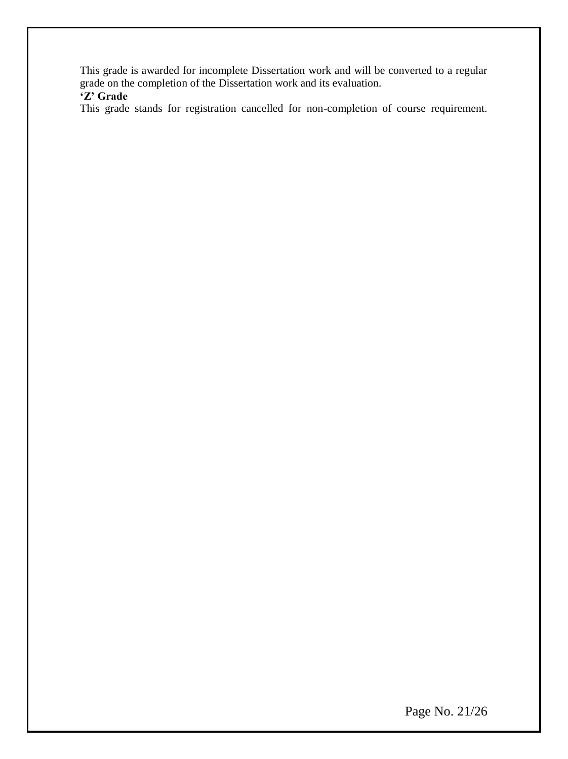This grade is awarded for incomplete Dissertation work and will be converted to a regular grade on the completion of the Dissertation work and its evaluation.

# **"Z" Grade**

This grade stands for registration cancelled for non-completion of course requirement.

Page No. 21/26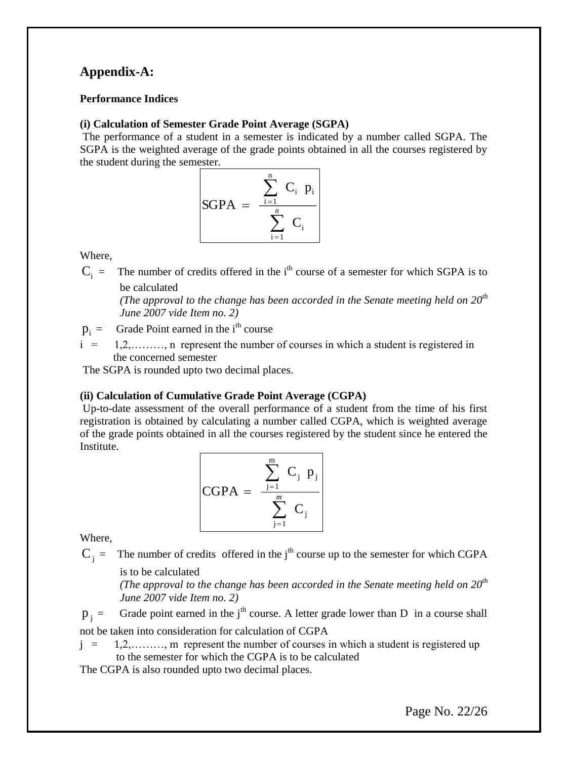## **Appendix-A:**

### **Performance Indices**

### **(i) Calculation of Semester Grade Point Average (SGPA)**

The performance of a student in a semester is indicated by a number called SGPA. The SGPA is the weighted average of the grade points obtained in all the courses registered by the student during the semester.

SGPA = 
$$
\frac{\sum_{i=1}^{n} C_i p_i}{\sum_{i=1}^{n} C_i}
$$

Where,

 $C_i$  = The number of credits offered in the i<sup>th</sup> course of a semester for which SGPA is to be calculated

*(The approval to the change has been accorded in the Senate meeting held on 20th June 2007 vide Item no. 2)*

- $p_i =$ Grade Point earned in the i<sup>th</sup> course
- i = 1,2,………, n represent the number of courses in which a student is registered in the concerned semester

The SGPA is rounded upto two decimal places.

### **(ii) Calculation of Cumulative Grade Point Average (CGPA)**

Up-to-date assessment of the overall performance of a student from the time of his first registration is obtained by calculating a number called CGPA, which is weighted average of the grade points obtained in all the courses registered by the student since he entered the Institute.

$$
CGPA = \frac{\sum_{j=1}^{m} C_j p_j}{\sum_{j=1}^{m} C_j}
$$

Where,

 $C_j$  = The number of credits offered in the j<sup>th</sup> course up to the semester for which CGPA

is to be calculated

*(The approval to the change has been accorded in the Senate meeting held on 20th June 2007 vide Item no. 2)*

 $p_i =$ Grade point earned in the j<sup>th</sup> course. A letter grade lower than D in a course shall not be taken into consideration for calculation of CGPA

 $j = 1,2,...,\ldots$ , m represent the number of courses in which a student is registered up to the semester for which the CGPA is to be calculated

The CGPA is also rounded upto two decimal places.

Page No. 22/26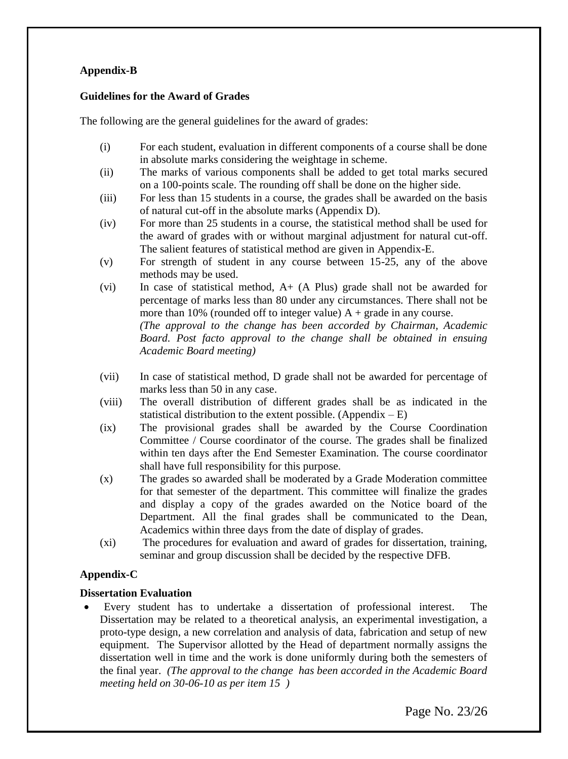### **Appendix-B**

### **Guidelines for the Award of Grades**

The following are the general guidelines for the award of grades:

- (i) For each student, evaluation in different components of a course shall be done in absolute marks considering the weightage in scheme.
- (ii) The marks of various components shall be added to get total marks secured on a 100-points scale. The rounding off shall be done on the higher side.
- (iii) For less than 15 students in a course, the grades shall be awarded on the basis of natural cut-off in the absolute marks (Appendix D).
- (iv) For more than 25 students in a course, the statistical method shall be used for the award of grades with or without marginal adjustment for natural cut-off. The salient features of statistical method are given in Appendix-E.
- (v) For strength of student in any course between 15-25, any of the above methods may be used.
- (vi) In case of statistical method, A+ (A Plus) grade shall not be awarded for percentage of marks less than 80 under any circumstances. There shall not be more than 10% (rounded off to integer value)  $A +$  grade in any course. *(The approval to the change has been accorded by Chairman, Academic Board. Post facto approval to the change shall be obtained in ensuing Academic Board meeting)*
- (vii) In case of statistical method, D grade shall not be awarded for percentage of marks less than 50 in any case.
- (viii) The overall distribution of different grades shall be as indicated in the statistical distribution to the extent possible. (Appendix  $-E$ )
- (ix) The provisional grades shall be awarded by the Course Coordination Committee / Course coordinator of the course. The grades shall be finalized within ten days after the End Semester Examination. The course coordinator shall have full responsibility for this purpose.
- (x) The grades so awarded shall be moderated by a Grade Moderation committee for that semester of the department. This committee will finalize the grades and display a copy of the grades awarded on the Notice board of the Department. All the final grades shall be communicated to the Dean, Academics within three days from the date of display of grades.
- (xi) The procedures for evaluation and award of grades for dissertation, training, seminar and group discussion shall be decided by the respective DFB.

### **Appendix-C**

### **Dissertation Evaluation**

 Every student has to undertake a dissertation of professional interest. The Dissertation may be related to a theoretical analysis, an experimental investigation, a proto-type design, a new correlation and analysis of data, fabrication and setup of new equipment. The Supervisor allotted by the Head of department normally assigns the dissertation well in time and the work is done uniformly during both the semesters of the final year. *(The approval to the change has been accorded in the Academic Board meeting held on 30-06-10 as per item 15 )*

Page No. 23/26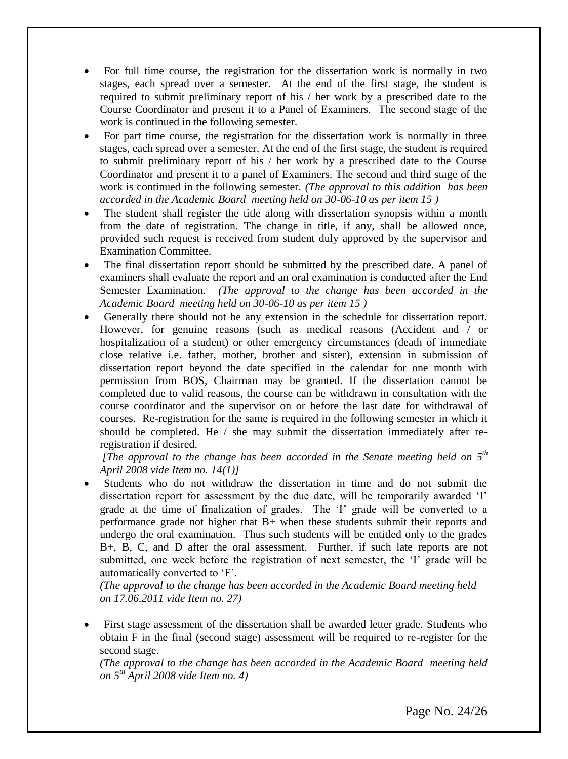- For full time course, the registration for the dissertation work is normally in two stages, each spread over a semester. At the end of the first stage, the student is required to submit preliminary report of his / her work by a prescribed date to the Course Coordinator and present it to a Panel of Examiners. The second stage of the work is continued in the following semester.
- For part time course, the registration for the dissertation work is normally in three stages, each spread over a semester. At the end of the first stage, the student is required to submit preliminary report of his / her work by a prescribed date to the Course Coordinator and present it to a panel of Examiners. The second and third stage of the work is continued in the following semester. *(The approval to this addition has been accorded in the Academic Board meeting held on 30-06-10 as per item 15 )*
- The student shall register the title along with dissertation synopsis within a month from the date of registration. The change in title, if any, shall be allowed once, provided such request is received from student duly approved by the supervisor and Examination Committee.
- The final dissertation report should be submitted by the prescribed date. A panel of examiners shall evaluate the report and an oral examination is conducted after the End Semester Examination. *(The approval to the change has been accorded in the Academic Board meeting held on 30-06-10 as per item 15 )*
- Generally there should not be any extension in the schedule for dissertation report. However, for genuine reasons (such as medical reasons (Accident and / or hospitalization of a student) or other emergency circumstances (death of immediate close relative i.e. father, mother, brother and sister), extension in submission of dissertation report beyond the date specified in the calendar for one month with permission from BOS, Chairman may be granted. If the dissertation cannot be completed due to valid reasons, the course can be withdrawn in consultation with the course coordinator and the supervisor on or before the last date for withdrawal of courses. Re-registration for the same is required in the following semester in which it should be completed. He  $/$  she may submit the dissertation immediately after reregistration if desired.

*[The approval to the change has been accorded in the Senate meeting held on 5 th April 2008 vide Item no. 14(1)]*

 Students who do not withdraw the dissertation in time and do not submit the dissertation report for assessment by the due date, will be temporarily awarded "I" grade at the time of finalization of grades. The "I" grade will be converted to a performance grade not higher that B+ when these students submit their reports and undergo the oral examination. Thus such students will be entitled only to the grades B+, B, C, and D after the oral assessment. Further, if such late reports are not submitted, one week before the registration of next semester, the "I" grade will be automatically converted to "F".

*(The approval to the change has been accorded in the Academic Board meeting held on 17.06.2011 vide Item no. 27)*

 First stage assessment of the dissertation shall be awarded letter grade. Students who obtain F in the final (second stage) assessment will be required to re-register for the second stage.

*(The approval to the change has been accorded in the Academic Board meeting held on 5 th April 2008 vide Item no. 4)*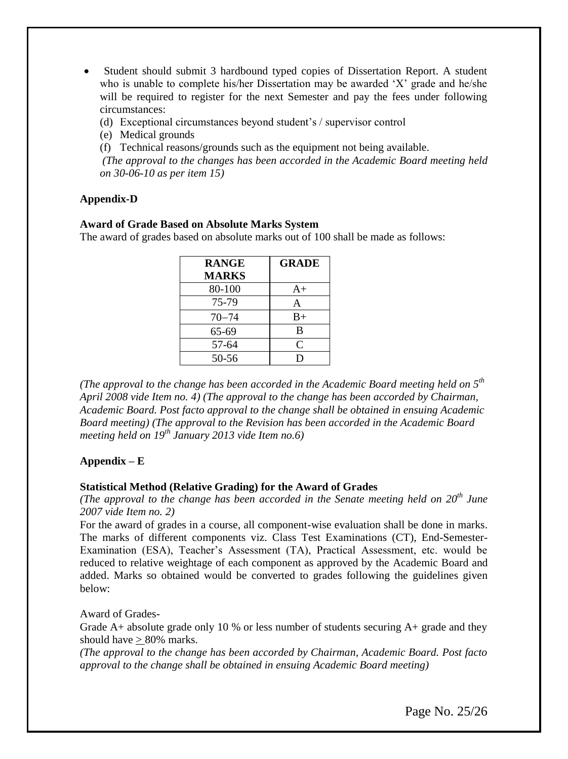- Student should submit 3 hardbound typed copies of Dissertation Report. A student who is unable to complete his/her Dissertation may be awarded 'X' grade and he/she will be required to register for the next Semester and pay the fees under following circumstances:
	- (d) Exceptional circumstances beyond student"s / supervisor control
	- (e) Medical grounds
	- (f) Technical reasons/grounds such as the equipment not being available.

*(The approval to the changes has been accorded in the Academic Board meeting held on 30-06-10 as per item 15)*

### **Appendix-D**

#### **Award of Grade Based on Absolute Marks System**

The award of grades based on absolute marks out of 100 shall be made as follows:

| <b>RANGE</b> | <b>GRADE</b> |
|--------------|--------------|
| <b>MARKS</b> |              |
| 80-100       | $A+$         |
| 75-79        | A            |
| $70 - 74$    | $B+$         |
| 65-69        | B            |
| 57-64        | C            |
| $50 - 56$    | וו           |

*(The approval to the change has been accorded in the Academic Board meeting held on 5 th April 2008 vide Item no. 4) (The approval to the change has been accorded by Chairman, Academic Board. Post facto approval to the change shall be obtained in ensuing Academic Board meeting) (The approval to the Revision has been accorded in the Academic Board meeting held on 19th January 2013 vide Item no.6)*

### **Appendix – E**

#### **Statistical Method (Relative Grading) for the Award of Grades**

*(The approval to the change has been accorded in the Senate meeting held on 20th June 2007 vide Item no. 2)*

For the award of grades in a course, all component-wise evaluation shall be done in marks. The marks of different components viz. Class Test Examinations (CT), End-Semester-Examination (ESA), Teacher"s Assessment (TA), Practical Assessment, etc. would be reduced to relative weightage of each component as approved by the Academic Board and added. Marks so obtained would be converted to grades following the guidelines given below:

Award of Grades-

Grade A+ absolute grade only 10 % or less number of students securing A+ grade and they should have > 80% marks.

*(The approval to the change has been accorded by Chairman, Academic Board. Post facto approval to the change shall be obtained in ensuing Academic Board meeting)*

Page No. 25/26